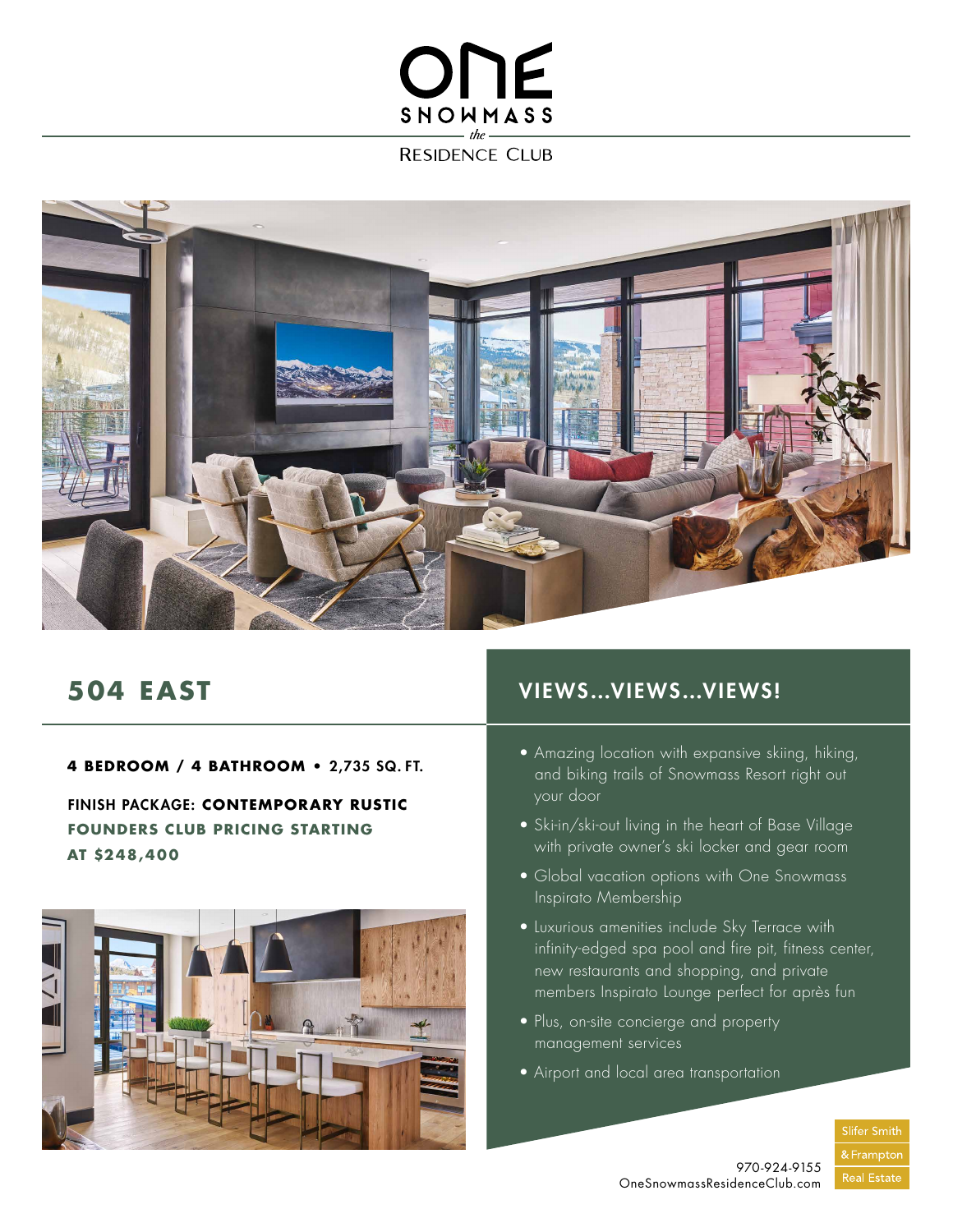## ONE SNOWMASS

**RESIDENCE CLUB** 



### **504 EAST**

**4 BEDROOM / 4 BATHROOM •** 2,735 SQ. FT.

FINISH PACKAGE: **CONTEMPORARY RUSTIC FOUNDERS CLUB PRICING STARTING AT \$248,400**



### VIEWS…VIEWS…VIEWS!

- Amazing location with expansive skiing, hiking, and biking trails of Snowmass Resort right out your door
- Ski-in/ski-out living in the heart of Base Village with private owner's ski locker and gear room
- Global vacation options with One Snowmass Inspirato Membership
- Luxurious amenities include Sky Terrace with infinity-edged spa pool and fire pit, fitness center, new restaurants and shopping, and private members Inspirato Lounge perfect for après fun
- Plus, on-site concierge and property management services
- Airport and local area transportation